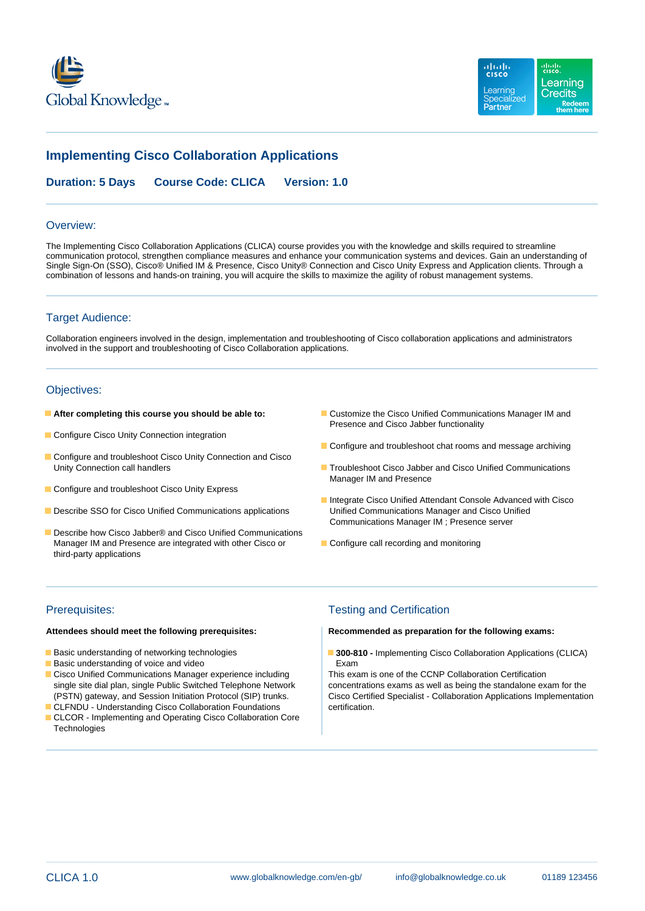



# **Implementing Cisco Collaboration Applications**

**Duration: 5 Days Course Code: CLICA Version: 1.0**

#### Overview:

The Implementing Cisco Collaboration Applications (CLICA) course provides you with the knowledge and skills required to streamline communication protocol, strengthen compliance measures and enhance your communication systems and devices. Gain an understanding of Single Sign-On (SSO), Cisco® Unified IM & Presence, Cisco Unity® Connection and Cisco Unity Express and Application clients. Through a combination of lessons and hands-on training, you will acquire the skills to maximize the agility of robust management systems.

## Target Audience:

Collaboration engineers involved in the design, implementation and troubleshooting of Cisco collaboration applications and administrators involved in the support and troubleshooting of Cisco Collaboration applications.

## Objectives:

- 
- Configure Cisco Unity Connection integration
- Configure and troubleshoot Cisco Unity Connection and Cisco<br>Unity Connection call handlers
- Configure and troubleshoot Cisco Unity Express
- **Describe SSO for Cisco Unified Communications applications Communications Manager and Cisco Unified Communications Applications**
- Describe how Cisco Jabber® and Cisco Unified Communications Manager IM and Presence are integrated with other Cisco or **Configure call recording and monitoring** third-party applications
- **After completing this course you should be able to: Customize the Cisco Unified Communications Manager IM and** Presence and Cisco Jabber functionality
	- Configure and troubleshoot chat rooms and message archiving
	- **United Connection Connection Cisco Jabber and Cisco Unified Communications** Manager IM and Presence
	- **Integrate Cisco Unified Attendant Console Advanced with Cisco** Communications Manager IM ; Presence server
	-

- 
- **Basic understanding of voice and video** Exam **Exam**
- Cisco Unified Communications Manager experience including This exam is one of the CCNP Collaboration Certification
- CLFNDU Understanding Cisco Collaboration Foundations certification.
- **CLCOR** Implementing and Operating Cisco Collaboration Core **Technologies**

## Prerequisites: Testing and Certification

#### **Attendees should meet the following prerequisites: Recommended as preparation for the following exams:**

**Basic understanding of networking technologies 300-810 - Implementing Cisco Collaboration Applications (CLICA)** 

single site dial plan, single Public Switched Telephone Network concentrations exams as well as being the standalone exam for the (PSTN) gateway, and Session Initiation Protocol (SIP) trunks. Cisco Certified Specialist - Collaboration Applications Implementation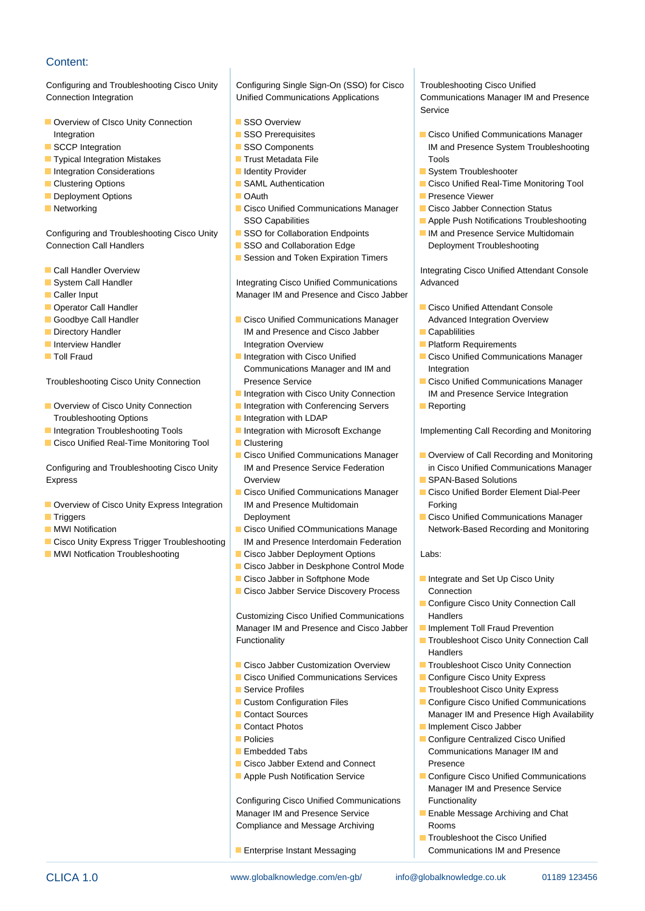# Content:

Configuring and Troubleshooting Cisco Unity Configuring Single Sign-On (SSO) for Cisco Troubleshooting Cisco Unified Connection Integration Unified Communications Applications Communications Manager IM and Presence

- Overview of CIsco Unity Connection **SSO Overview**
- 
- Typical Integration Mistakes Trust Metadata File Trust Metadata File Tools
- **Integration Considerations** Integration Integration Considerations Integration System Troubleshooter
- 
- Deployment Options **Obtained Act Act of Contract Contract Contract Contract Contract Contract Contract Presence Viewer**
- 

Configuring and Troubleshooting Cisco Unity SSO for Collaboration Endpoints IM and Presence Service Multidomain Connection Call Handlers **SSO and Collaboration Edge** Deployment Troubleshooting

- 
- 
- 
- 
- 
- 
- 
- 

- Troubleshooting Options **Integration with LDAP**
- 
- Cisco Unified Real-Time Monitoring Tool **Clustering**

Configuring and Troubleshooting Cisco Unity IM and Presence Service Federation in Cisco Unified Communications Manager Express **Express** Coverview SPAN-Based Solutions **COVERTS** COVER SPAN-Based Solutions

- Overview of Cisco Unity Express Integration IM and Presence Multidomain Forking
- 
- 
- Cisco Unity Express Trigger Troubleshooting | IM and Presence Interdomain Federation
- **MWI Notfication Troubleshooting Cisco Jabber Deployment Options** Labs:

- 
- 
- 
- 
- 
- 
- 
- Networking Cisco Unified Communications Manager Cisco Jabber Connection Status SSO Capabilities **Apple Push Notifications Troubleshooting** 
	-
	-
	- **In Session and Token Expiration Timers**

■ System Call Handler **Integrating Cisco Unified Communications** Advanced **Caller Input Manager IM and Presence and Cisco Jabber IM and Presence and Cisco Jabber** 

- Goodbye Call Handler **Cisco Unified Communications Manager** Advanced Integration Overview **Directory Handler Capablic IM and Presence and Cisco Jabber Capablilities Interview Handler Communisties According to the Integration Overview Communisties Communisties Communisties Communisties According to Platform Requirements**
- **The Integration with Cisco Unified Cisco Unified Communications Manager** Toll Fraud Communications Manager and IM and Integration
	-
- Overview of Cisco Unity Connection | Integration with Conferencing Servers | Reporting
	-
	-
	-
	-
	- Cisco Unified Communications Manager | Cisco Unified Border Element Dial-Peer
- MWI Notification Cisco Unified COmmunications Manage Network-Based Recording and Monitoring
	-
	- Cisco Jabber in Deskphone Control Mode
	-
	- Cisco Jabber Service Discovery Process Connection

Customizing Cisco Unified Communications | Handlers Manager IM and Presence and Cisco Jabber | Implement Toll Fraud Prevention

- 
- Cisco Unified Communications Services Configure Cisco Unity Express
- 
- 
- 
- 
- 
- 
- Cisco Jabber Extend and Connect Presence
- 

Configuring Cisco Unified Communications Functionality Manager IM and Presence Service **Exercise Enable Message Archiving and Chat** Compliance and Message Archiving Rooms

CLICA 1.0 www.globalknowledge.com/en-gb/ info@globalknowledge.co.uk 01189 123456

**Enterprise Instant Messaging Communications IM and Presence** 

line line line state in the service of the service of the service of the Service

- Integration **Integration** SSO Prerequisites **Cisco Unified Communications Manager** Cisco Unified Communications Manager **SCCP Integration** SSO Components IM and Presence System Troubleshooting
	-
- **Clustering Options Clustering Collection** Clustering Tool **SAML Authentication** Cisco Unified Real-Time Monitoring Tool
	-
	-
	-
	-

**Call Handler Overview Integrating Cisco Unified Attendant Console** 

- Operator Call Handler line Cisco Unified Attendant Console
	-
	-
	-
- Troubleshooting Cisco Unity Connection Presence Service **Provides** Cisco Unified Communications Manager ■ Integration with Cisco Unity Connection IM and Presence Service Integration
	-

■ Integration Troubleshooting Tools ■ Integration with Microsoft Exchange Implementing Call Recording and Monitoring

- Cisco Unified Communications Manager II Overview of Call Recording and Monitoring
	-
	-
- **Triggers City City City City City City City Cisco Unified Communications Manager**

- Cisco Jabber in Softphone Mode Integrate and Set Up Cisco Unity
	- **Configure Cisco Unity Connection Call**
	-
- Functionality **Troubleshoot Cisco Unity Connection Call** Handlers
- Cisco Jabber Customization Overview Troubleshoot Cisco Unity Connection
	-
- Service Profiles Troubleshoot Cisco Unity Express
- Custom Configuration Files Configure Cisco Unified Communications **Contact Sources** Manager IM and Presence High Availability
- Contact Photos **Implement Cisco Jabber**
- **Policies** Configure Centralized Cisco Unified **Embedded Tabs** Communications Manager IM and

 $\blacksquare$  Troubleshoot the Cisco Unified

**Apple Push Notification Service Configure Cisco Unified Communications** Manager IM and Presence Service